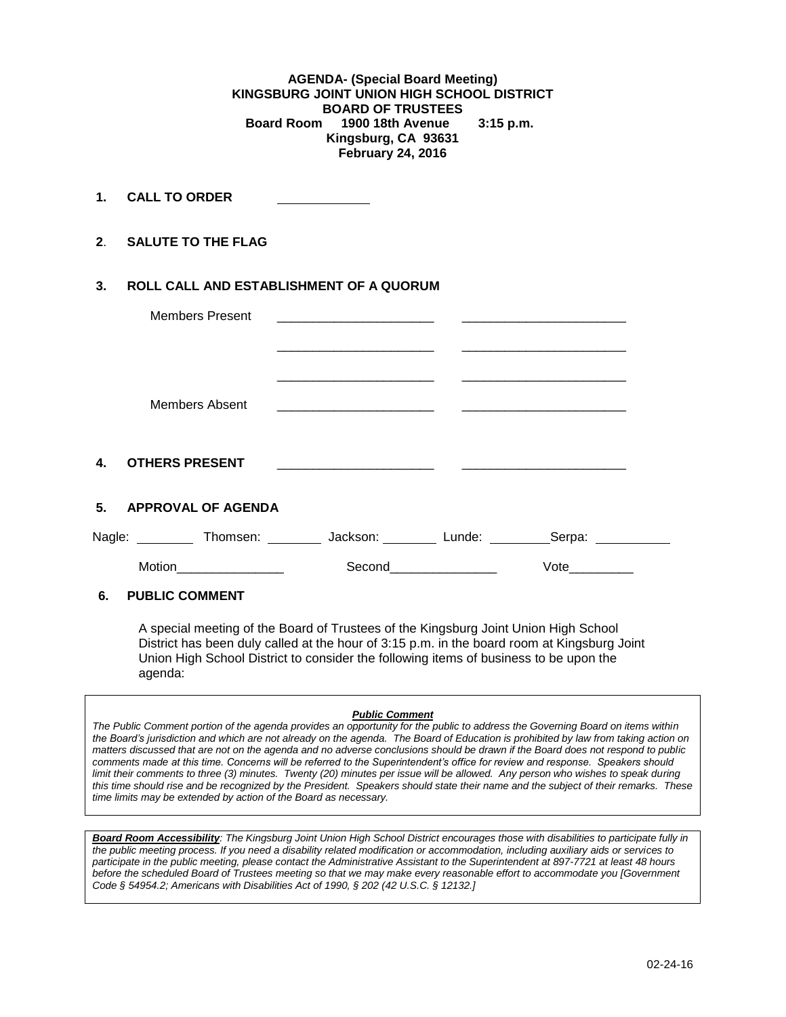**AGENDA- (Special Board Meeting) KINGSBURG JOINT UNION HIGH SCHOOL DISTRICT BOARD OF TRUSTEES Board Room 1900 18th Avenue 3:15 p.m. Kingsburg, CA 93631 February 24, 2016**

**1. CALL TO ORDER** 

**2**. **SALUTE TO THE FLAG**

## **3. ROLL CALL AND ESTABLISHMENT OF A QUORUM**

|                | <b>Members Present</b>                                                |                                                                                 | the contract of the contract of the contract of the contract of the contract of                                       |        |  |
|----------------|-----------------------------------------------------------------------|---------------------------------------------------------------------------------|-----------------------------------------------------------------------------------------------------------------------|--------|--|
|                |                                                                       |                                                                                 |                                                                                                                       |        |  |
|                | Members Absent                                                        | the contract of the contract of the contract of the contract of the contract of |                                                                                                                       |        |  |
| $\mathbf{4}$   | <b>OTHERS PRESENT</b>                                                 | the contract of the contract of the contract of the contract of                 | <u> 1989 - Johann Harry Harry Harry Harry Harry Harry Harry Harry Harry Harry Harry Harry Harry Harry Harry Harry</u> |        |  |
| 5 <sub>1</sub> | <b>APPROVAL OF AGENDA</b>                                             |                                                                                 |                                                                                                                       |        |  |
|                | Nagle: __________ Thomsen: _________ Jackson: ________ Lunde: _______ |                                                                                 |                                                                                                                       | Serpa: |  |
| Motion         |                                                                       | Second                                                                          |                                                                                                                       | Vote   |  |
| ----           |                                                                       |                                                                                 |                                                                                                                       |        |  |

### **6. PUBLIC COMMENT**

A special meeting of the Board of Trustees of the Kingsburg Joint Union High School District has been duly called at the hour of 3:15 p.m. in the board room at Kingsburg Joint Union High School District to consider the following items of business to be upon the agenda:

#### *Public Comment*

*The Public Comment portion of the agenda provides an opportunity for the public to address the Governing Board on items within the Board's jurisdiction and which are not already on the agenda. The Board of Education is prohibited by law from taking action on matters discussed that are not on the agenda and no adverse conclusions should be drawn if the Board does not respond to public comments made at this time. Concerns will be referred to the Superintendent's office for review and response. Speakers should limit their comments to three (3) minutes. Twenty (20) minutes per issue will be allowed. Any person who wishes to speak during this time should rise and be recognized by the President. Speakers should state their name and the subject of their remarks. These time limits may be extended by action of the Board as necessary.*

*Board Room Accessibility: The Kingsburg Joint Union High School District encourages those with disabilities to participate fully in the public meeting process. If you need a disability related modification or accommodation, including auxiliary aids or services to participate in the public meeting, please contact the Administrative Assistant to the Superintendent at 897-7721 at least 48 hours before the scheduled Board of Trustees meeting so that we may make every reasonable effort to accommodate you [Government Code § 54954.2; Americans with Disabilities Act of 1990, § 202 (42 U.S.C. § 12132.]*